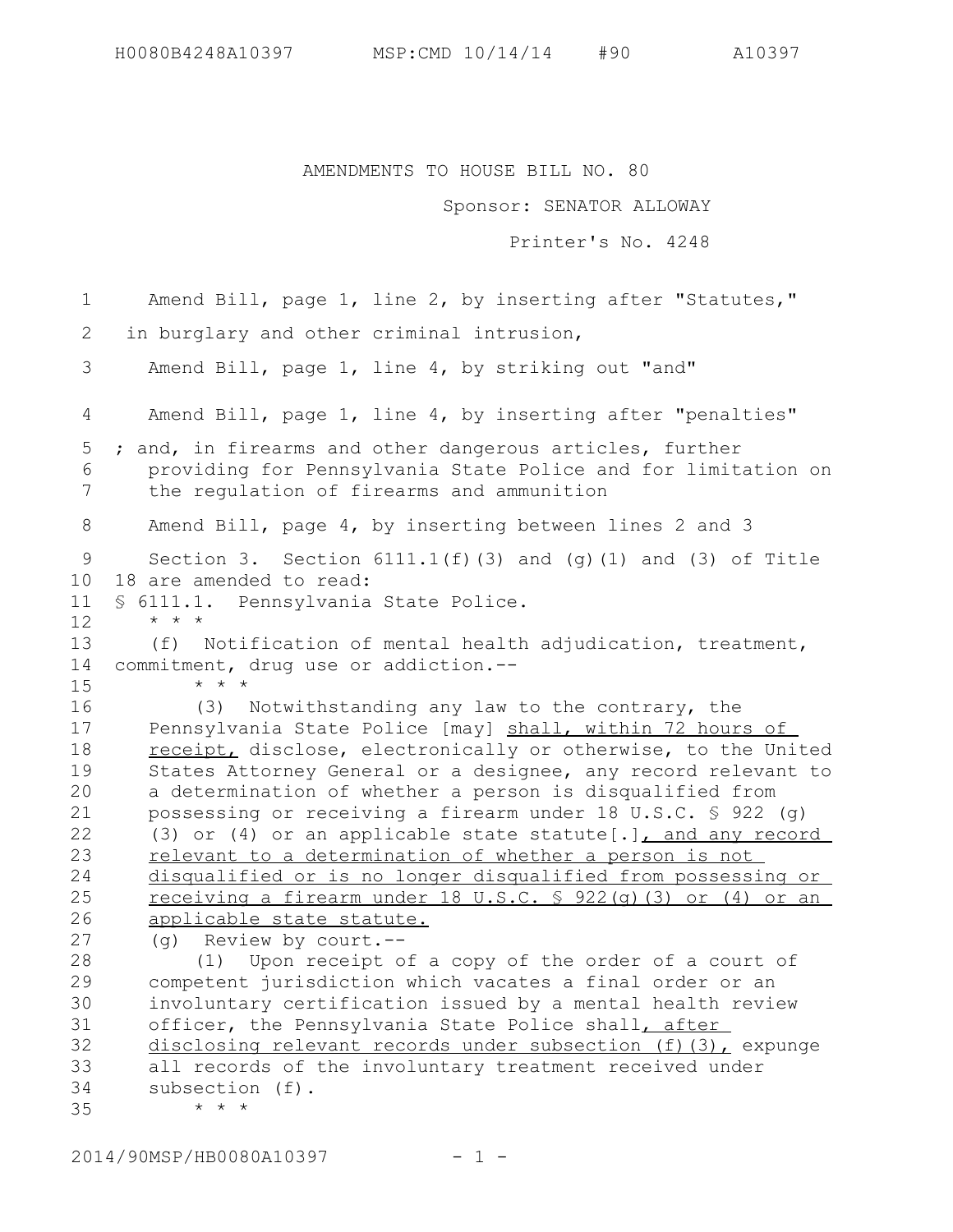AMENDMENTS TO HOUSE BILL NO. 80

Sponsor: SENATOR ALLOWAY

Printer's No. 4248

Amend Bill, page 1, line 2, by inserting after "Statutes," in burglary and other criminal intrusion, Amend Bill, page 1, line 4, by striking out "and" Amend Bill, page 1, line 4, by inserting after "penalties" ; and, in firearms and other dangerous articles, further providing for Pennsylvania State Police and for limitation on the regulation of firearms and ammunition Amend Bill, page 4, by inserting between lines 2 and 3 Section 3. Section  $6111.1(f)$  (3) and (g)(1) and (3) of Title 18 are amended to read: § 6111.1. Pennsylvania State Police. \* \* \* (f) Notification of mental health adjudication, treatment, commitment, drug use or addiction.-- \* \* \* (3) Notwithstanding any law to the contrary, the Pennsylvania State Police [may] shall, within 72 hours of receipt, disclose, electronically or otherwise, to the United States Attorney General or a designee, any record relevant to a determination of whether a person is disqualified from possessing or receiving a firearm under 18 U.S.C. § 922 (g) (3) or (4) or an applicable state statute[.], and any record relevant to a determination of whether a person is not disqualified or is no longer disqualified from possessing or receiving a firearm under 18 U.S.C. § 922(g)(3) or (4) or an applicable state statute. (g) Review by court.-- (1) Upon receipt of a copy of the order of a court of competent jurisdiction which vacates a final order or an involuntary certification issued by a mental health review officer, the Pennsylvania State Police shall, after disclosing relevant records under subsection (f)(3), expunge all records of the involuntary treatment received under subsection (f). \* \* \* 1 2 3 4 5 6 7 8 9 10 11 12 13 14 15 16 17 18 19 20 21 22 23 24 25 26 27 28 29 30 31 32 33 34 35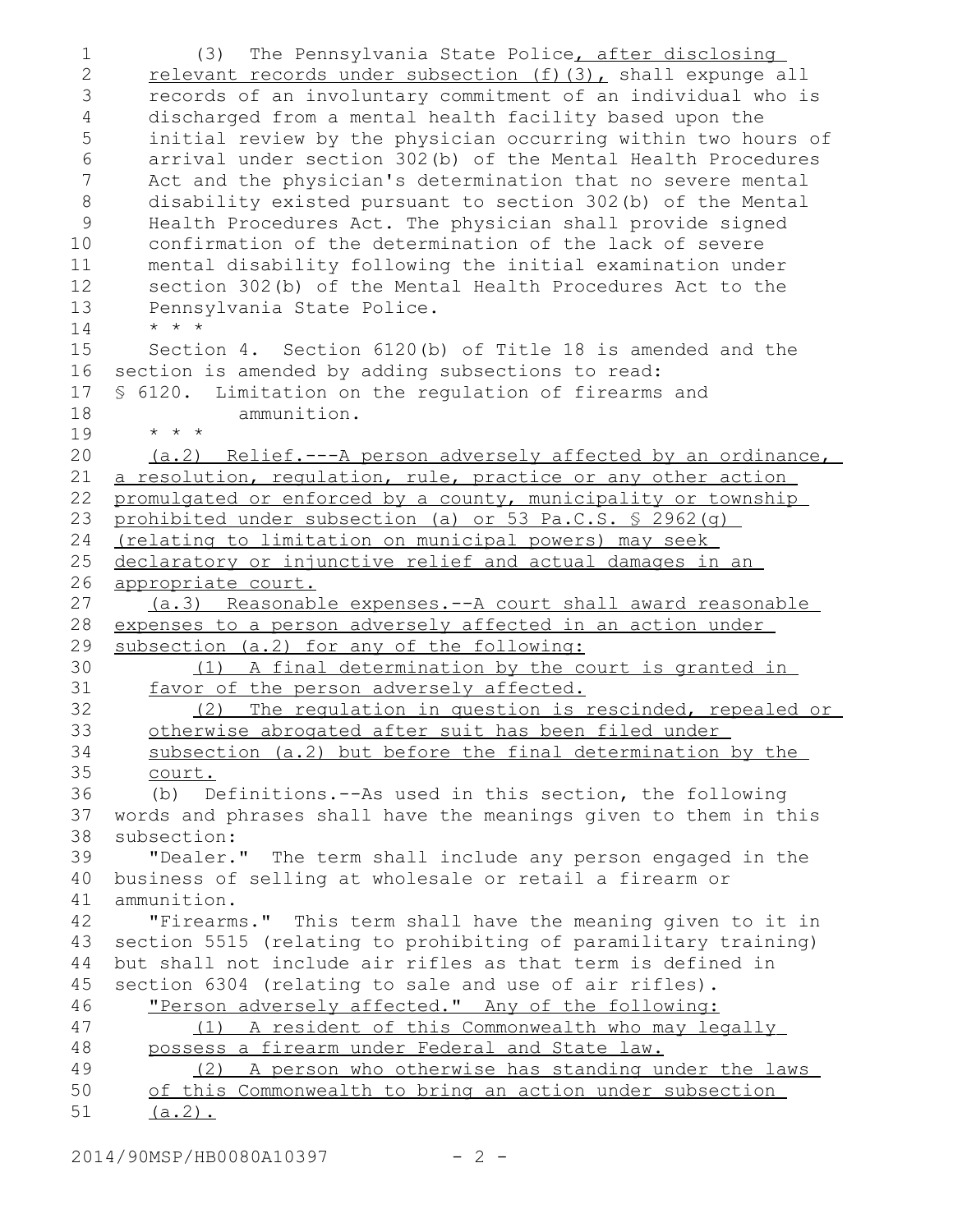(3) The Pennsylvania State Police, after disclosing relevant records under subsection (f)(3), shall expunge all records of an involuntary commitment of an individual who is discharged from a mental health facility based upon the initial review by the physician occurring within two hours of arrival under section 302(b) of the Mental Health Procedures Act and the physician's determination that no severe mental disability existed pursuant to section 302(b) of the Mental Health Procedures Act. The physician shall provide signed confirmation of the determination of the lack of severe mental disability following the initial examination under section 302(b) of the Mental Health Procedures Act to the Pennsylvania State Police. \* \* \* Section 4. Section 6120(b) of Title 18 is amended and the section is amended by adding subsections to read: § 6120. Limitation on the regulation of firearms and ammunition. \* \* \* (a.2) Relief.---A person adversely affected by an ordinance, a resolution, regulation, rule, practice or any other action promulgated or enforced by a county, municipality or township prohibited under subsection (a) or 53 Pa.C.S. § 2962(g) (relating to limitation on municipal powers) may seek declaratory or injunctive relief and actual damages in an appropriate court. (a.3) Reasonable expenses.--A court shall award reasonable expenses to a person adversely affected in an action under subsection (a.2) for any of the following: (1) A final determination by the court is granted in favor of the person adversely affected. (2) The regulation in question is rescinded, repealed or otherwise abrogated after suit has been filed under subsection (a.2) but before the final determination by the court. (b) Definitions.--As used in this section, the following words and phrases shall have the meanings given to them in this subsection: "Dealer." The term shall include any person engaged in the business of selling at wholesale or retail a firearm or ammunition. "Firearms." This term shall have the meaning given to it in section 5515 (relating to prohibiting of paramilitary training) but shall not include air rifles as that term is defined in section 6304 (relating to sale and use of air rifles). "Person adversely affected." Any of the following: (1) A resident of this Commonwealth who may legally possess a firearm under Federal and State law. (2) A person who otherwise has standing under the laws of this Commonwealth to bring an action under subsection  $(a.2)$ . 1 2 3 4 5 6 7 8 9 10 11 12 13 14 15 16 17 18 19 20 21 22 23 24 25 26 27 28 29 30 31 32 33 34 35 36 37 38 39 40 41 42 43 44 45 46 47 48 49 50 51